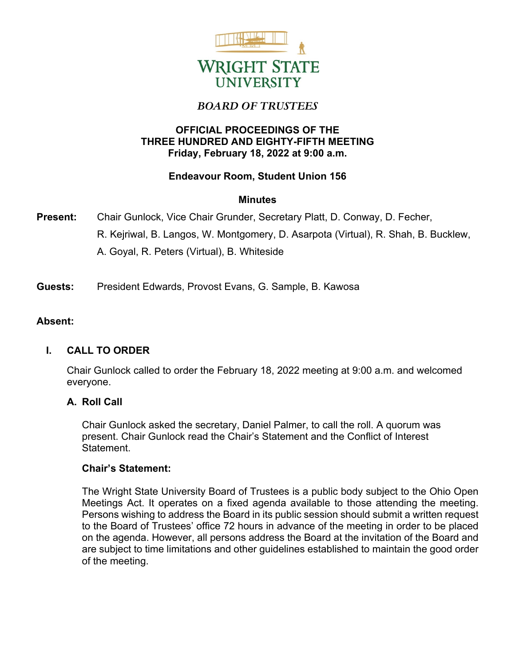

# *BOARD OF TRUSTEES*

# **OFFICIAL PROCEEDINGS OF THE THREE HUNDRED AND EIGHTY-FIFTH MEETING Friday, February 18, 2022 at 9:00 a.m.**

# **Endeavour Room, Student Union 156**

# **Minutes**

- **Present:** Chair Gunlock, Vice Chair Grunder, Secretary Platt, D. Conway, D. Fecher, R. Kejriwal, B. Langos, W. Montgomery, D. Asarpota (Virtual), R. Shah, B. Bucklew, A. Goyal, R. Peters (Virtual), B. Whiteside
- **Guests:** President Edwards, Provost Evans, G. Sample, B. Kawosa

# **Absent:**

# **I. CALL TO ORDER**

Chair Gunlock called to order the February 18, 2022 meeting at 9:00 a.m. and welcomed everyone.

## **A. Roll Call**

Chair Gunlock asked the secretary, Daniel Palmer, to call the roll. A quorum was present. Chair Gunlock read the Chair's Statement and the Conflict of Interest Statement.

## **Chair's Statement:**

The Wright State University Board of Trustees is a public body subject to the Ohio Open Meetings Act. It operates on a fixed agenda available to those attending the meeting. Persons wishing to address the Board in its public session should submit a written request to the Board of Trustees' office 72 hours in advance of the meeting in order to be placed on the agenda. However, all persons address the Board at the invitation of the Board and are subject to time limitations and other guidelines established to maintain the good order of the meeting.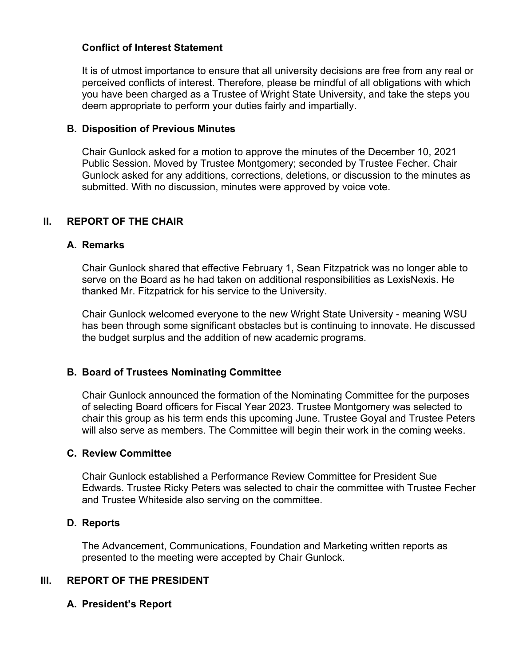## **Conflict of Interest Statement**

It is of utmost importance to ensure that all university decisions are free from any real or perceived conflicts of interest. Therefore, please be mindful of all obligations with which you have been charged as a Trustee of Wright State University, and take the steps you deem appropriate to perform your duties fairly and impartially.

## **B. Disposition of Previous Minutes**

Chair Gunlock asked for a motion to approve the minutes of the December 10, 2021 Public Session. Moved by Trustee Montgomery; seconded by Trustee Fecher. Chair Gunlock asked for any additions, corrections, deletions, or discussion to the minutes as submitted. With no discussion, minutes were approved by voice vote.

# **II. REPORT OF THE CHAIR**

#### **A. Remarks**

Chair Gunlock shared that effective February 1, Sean Fitzpatrick was no longer able to serve on the Board as he had taken on additional responsibilities as LexisNexis. He thanked Mr. Fitzpatrick for his service to the University.

Chair Gunlock welcomed everyone to the new Wright State University - meaning WSU has been through some significant obstacles but is continuing to innovate. He discussed the budget surplus and the addition of new academic programs.

## **B. Board of Trustees Nominating Committee**

Chair Gunlock announced the formation of the Nominating Committee for the purposes of selecting Board officers for Fiscal Year 2023. Trustee Montgomery was selected to chair this group as his term ends this upcoming June. Trustee Goyal and Trustee Peters will also serve as members. The Committee will begin their work in the coming weeks.

#### **C. Review Committee**

Chair Gunlock established a Performance Review Committee for President Sue Edwards. Trustee Ricky Peters was selected to chair the committee with Trustee Fecher and Trustee Whiteside also serving on the committee.

## **D. Reports**

The Advancement, Communications, Foundation and Marketing written reports as presented to the meeting were accepted by Chair Gunlock.

## **III. REPORT OF THE PRESIDENT**

## **A. President's Report**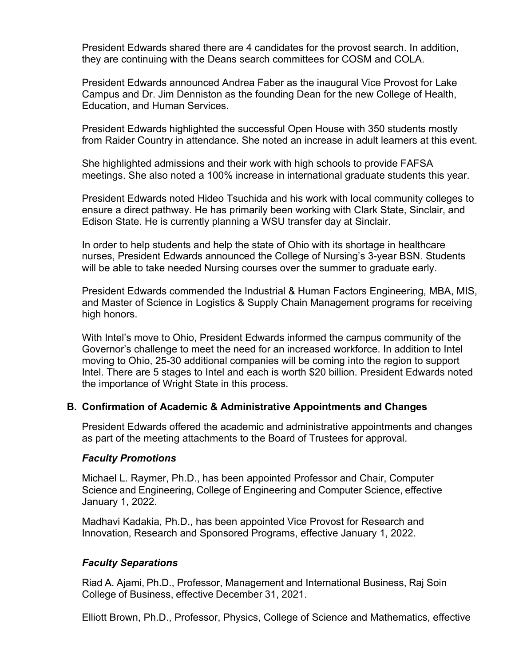President Edwards shared there are 4 candidates for the provost search. In addition, they are continuing with the Deans search committees for COSM and COLA.

President Edwards announced Andrea Faber as the inaugural Vice Provost for Lake Campus and Dr. Jim Denniston as the founding Dean for the new College of Health, Education, and Human Services.

President Edwards highlighted the successful Open House with 350 students mostly from Raider Country in attendance. She noted an increase in adult learners at this event.

She highlighted admissions and their work with high schools to provide FAFSA meetings. She also noted a 100% increase in international graduate students this year.

President Edwards noted Hideo Tsuchida and his work with local community colleges to ensure a direct pathway. He has primarily been working with Clark State, Sinclair, and Edison State. He is currently planning a WSU transfer day at Sinclair.

In order to help students and help the state of Ohio with its shortage in healthcare nurses, President Edwards announced the College of Nursing's 3-year BSN. Students will be able to take needed Nursing courses over the summer to graduate early.

President Edwards commended the Industrial & Human Factors Engineering, MBA, MIS, and Master of Science in Logistics & Supply Chain Management programs for receiving high honors.

With Intel's move to Ohio, President Edwards informed the campus community of the Governor's challenge to meet the need for an increased workforce. In addition to Intel moving to Ohio, 25-30 additional companies will be coming into the region to support Intel. There are 5 stages to Intel and each is worth \$20 billion. President Edwards noted the importance of Wright State in this process.

## **B. Confirmation of Academic & Administrative Appointments and Changes**

President Edwards offered the academic and administrative appointments and changes as part of the meeting attachments to the Board of Trustees for approval.

## *Faculty Promotions*

Michael L. Raymer, Ph.D., has been appointed Professor and Chair, Computer Science and Engineering, College of Engineering and Computer Science, effective January 1, 2022.

Madhavi Kadakia, Ph.D., has been appointed Vice Provost for Research and Innovation, Research and Sponsored Programs, effective January 1, 2022.

## *Faculty Separations*

Riad A. Ajami, Ph.D., Professor, Management and International Business, Raj Soin College of Business, effective December 31, 2021.

Elliott Brown, Ph.D., Professor, Physics, College of Science and Mathematics, effective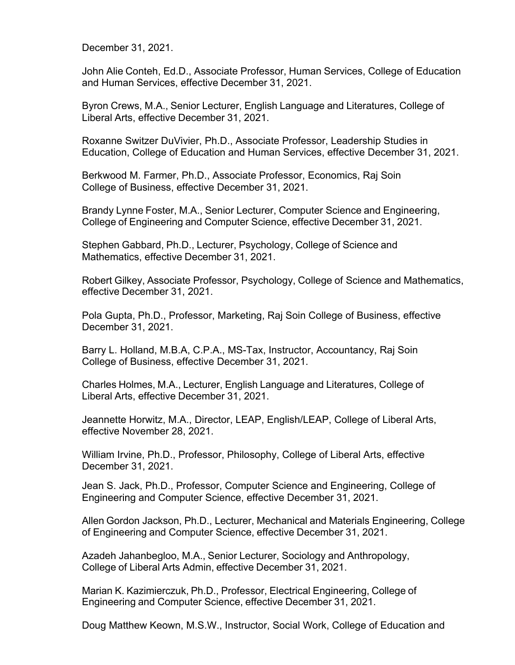December 31, 2021.

John Alie Conteh, Ed.D., Associate Professor, Human Services, College of Education and Human Services, effective December 31, 2021.

Byron Crews, M.A., Senior Lecturer, English Language and Literatures, College of Liberal Arts, effective December 31, 2021.

Roxanne Switzer DuVivier, Ph.D., Associate Professor, Leadership Studies in Education, College of Education and Human Services, effective December 31, 2021.

Berkwood M. Farmer, Ph.D., Associate Professor, Economics, Raj Soin College of Business, effective December 31, 2021.

Brandy Lynne Foster, M.A., Senior Lecturer, Computer Science and Engineering, College of Engineering and Computer Science, effective December 31, 2021.

Stephen Gabbard, Ph.D., Lecturer, Psychology, College of Science and Mathematics, effective December 31, 2021.

Robert Gilkey, Associate Professor, Psychology, College of Science and Mathematics, effective December 31, 2021.

Pola Gupta, Ph.D., Professor, Marketing, Raj Soin College of Business, effective December 31, 2021.

Barry L. Holland, M.B.A, C.P.A., MS-Tax, Instructor, Accountancy, Raj Soin College of Business, effective December 31, 2021.

Charles Holmes, M.A., Lecturer, English Language and Literatures, College of Liberal Arts, effective December 31, 2021.

Jeannette Horwitz, M.A., Director, LEAP, English/LEAP, College of Liberal Arts, effective November 28, 2021.

William Irvine, Ph.D., Professor, Philosophy, College of Liberal Arts, effective December 31, 2021.

Jean S. Jack, Ph.D., Professor, Computer Science and Engineering, College of Engineering and Computer Science, effective December 31, 2021.

Allen Gordon Jackson, Ph.D., Lecturer, Mechanical and Materials Engineering, College of Engineering and Computer Science, effective December 31, 2021.

Azadeh Jahanbegloo, M.A., Senior Lecturer, Sociology and Anthropology, College of Liberal Arts Admin, effective December 31, 2021.

Marian K. Kazimierczuk, Ph.D., Professor, Electrical Engineering, College of Engineering and Computer Science, effective December 31, 2021.

Doug Matthew Keown, M.S.W., Instructor, Social Work, College of Education and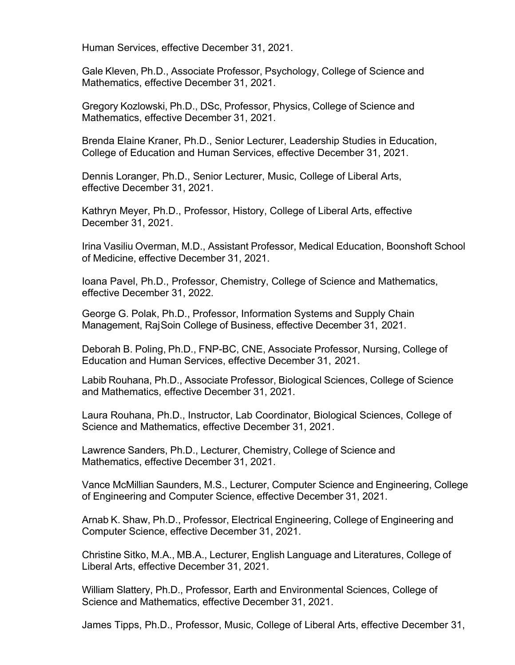Human Services, effective December 31, 2021.

Gale Kleven, Ph.D., Associate Professor, Psychology, College of Science and Mathematics, effective December 31, 2021.

Gregory Kozlowski, Ph.D., DSc, Professor, Physics, College of Science and Mathematics, effective December 31, 2021.

Brenda Elaine Kraner, Ph.D., Senior Lecturer, Leadership Studies in Education, College of Education and Human Services, effective December 31, 2021.

Dennis Loranger, Ph.D., Senior Lecturer, Music, College of Liberal Arts, effective December 31, 2021.

Kathryn Meyer, Ph.D., Professor, History, College of Liberal Arts, effective December 31, 2021.

Irina Vasiliu Overman, M.D., Assistant Professor, Medical Education, Boonshoft School of Medicine, effective December 31, 2021.

Ioana Pavel, Ph.D., Professor, Chemistry, College of Science and Mathematics, effective December 31, 2022.

George G. Polak, Ph.D., Professor, Information Systems and Supply Chain Management, RajSoin College of Business, effective December 31, 2021.

Deborah B. Poling, Ph.D., FNP-BC, CNE, Associate Professor, Nursing, College of Education and Human Services, effective December 31, 2021.

Labib Rouhana, Ph.D., Associate Professor, Biological Sciences, College of Science and Mathematics, effective December 31, 2021.

Laura Rouhana, Ph.D., Instructor, Lab Coordinator, Biological Sciences, College of Science and Mathematics, effective December 31, 2021.

Lawrence Sanders, Ph.D., Lecturer, Chemistry, College of Science and Mathematics, effective December 31, 2021.

Vance McMillian Saunders, M.S., Lecturer, Computer Science and Engineering, College of Engineering and Computer Science, effective December 31, 2021.

Arnab K. Shaw, Ph.D., Professor, Electrical Engineering, College of Engineering and Computer Science, effective December 31, 2021.

Christine Sitko, M.A., MB.A., Lecturer, English Language and Literatures, College of Liberal Arts, effective December 31, 2021.

William Slattery, Ph.D., Professor, Earth and Environmental Sciences, College of Science and Mathematics, effective December 31, 2021.

James Tipps, Ph.D., Professor, Music, College of Liberal Arts, effective December 31,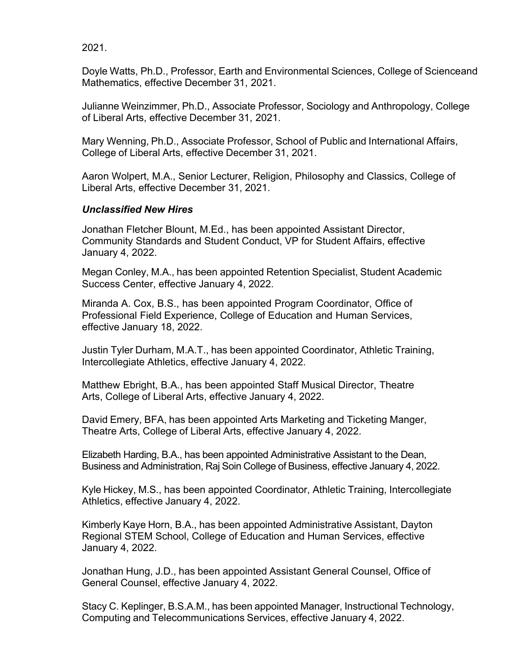2021.

Doyle Watts, Ph.D., Professor, Earth and Environmental Sciences, College of Scienceand Mathematics, effective December 31, 2021.

Julianne Weinzimmer, Ph.D., Associate Professor, Sociology and Anthropology, College of Liberal Arts, effective December 31, 2021.

Mary Wenning, Ph.D., Associate Professor, School of Public and International Affairs, College of Liberal Arts, effective December 31, 2021.

Aaron Wolpert, M.A., Senior Lecturer, Religion, Philosophy and Classics, College of Liberal Arts, effective December 31, 2021.

# *Unclassified New Hires*

Jonathan Fletcher Blount, M.Ed., has been appointed Assistant Director, Community Standards and Student Conduct, VP for Student Affairs, effective January 4, 2022.

Megan Conley, M.A., has been appointed Retention Specialist, Student Academic Success Center, effective January 4, 2022.

Miranda A. Cox, B.S., has been appointed Program Coordinator, Office of Professional Field Experience, College of Education and Human Services, effective January 18, 2022.

Justin Tyler Durham, M.A.T., has been appointed Coordinator, Athletic Training, Intercollegiate Athletics, effective January 4, 2022.

Matthew Ebright, B.A., has been appointed Staff Musical Director, Theatre Arts, College of Liberal Arts, effective January 4, 2022.

David Emery, BFA, has been appointed Arts Marketing and Ticketing Manger, Theatre Arts, College of Liberal Arts, effective January 4, 2022.

Elizabeth Harding, B.A., has been appointed Administrative Assistant to the Dean, Business and Administration, Raj Soin College of Business, effective January 4, 2022.

Kyle Hickey, M.S., has been appointed Coordinator, Athletic Training, Intercollegiate Athletics, effective January 4, 2022.

Kimberly Kaye Horn, B.A., has been appointed Administrative Assistant, Dayton Regional STEM School, College of Education and Human Services, effective January 4, 2022.

Jonathan Hung, J.D., has been appointed Assistant General Counsel, Office of General Counsel, effective January 4, 2022.

Stacy C. Keplinger, B.S.A.M., has been appointed Manager, Instructional Technology, Computing and Telecommunications Services, effective January 4, 2022.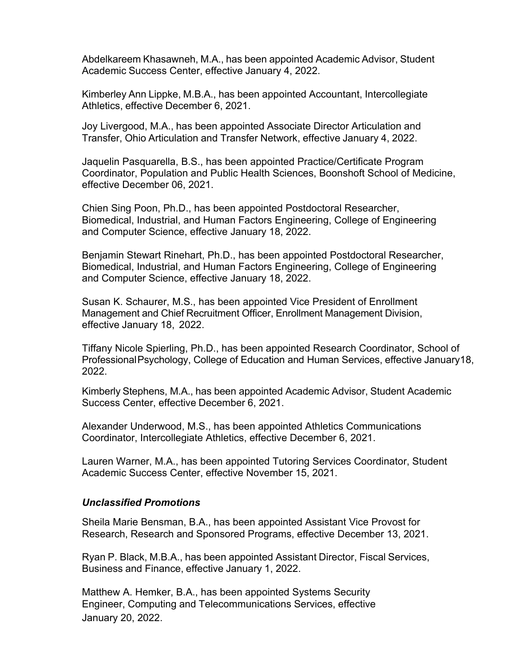Abdelkareem Khasawneh, M.A., has been appointed Academic Advisor, Student Academic Success Center, effective January 4, 2022.

Kimberley Ann Lippke, M.B.A., has been appointed Accountant, Intercollegiate Athletics, effective December 6, 2021.

Joy Livergood, M.A., has been appointed Associate Director Articulation and Transfer, Ohio Articulation and Transfer Network, effective January 4, 2022.

Jaquelin Pasquarella, B.S., has been appointed Practice/Certificate Program Coordinator, Population and Public Health Sciences, Boonshoft School of Medicine, effective December 06, 2021.

Chien Sing Poon, Ph.D., has been appointed Postdoctoral Researcher, Biomedical, Industrial, and Human Factors Engineering, College of Engineering and Computer Science, effective January 18, 2022.

Benjamin Stewart Rinehart, Ph.D., has been appointed Postdoctoral Researcher, Biomedical, Industrial, and Human Factors Engineering, College of Engineering and Computer Science, effective January 18, 2022.

Susan K. Schaurer, M.S., has been appointed Vice President of Enrollment Management and Chief Recruitment Officer, Enrollment Management Division, effective January 18, 2022.

Tiffany Nicole Spierling, Ph.D., has been appointed Research Coordinator, School of ProfessionalPsychology, College of Education and Human Services, effective January18, 2022.

Kimberly Stephens, M.A., has been appointed Academic Advisor, Student Academic Success Center, effective December 6, 2021.

Alexander Underwood, M.S., has been appointed Athletics Communications Coordinator, Intercollegiate Athletics, effective December 6, 2021.

Lauren Warner, M.A., has been appointed Tutoring Services Coordinator, Student Academic Success Center, effective November 15, 2021.

## *Unclassified Promotions*

Sheila Marie Bensman, B.A., has been appointed Assistant Vice Provost for Research, Research and Sponsored Programs, effective December 13, 2021.

Ryan P. Black, M.B.A., has been appointed Assistant Director, Fiscal Services, Business and Finance, effective January 1, 2022.

Matthew A. Hemker, B.A., has been appointed Systems Security Engineer, Computing and Telecommunications Services, effective January 20, 2022.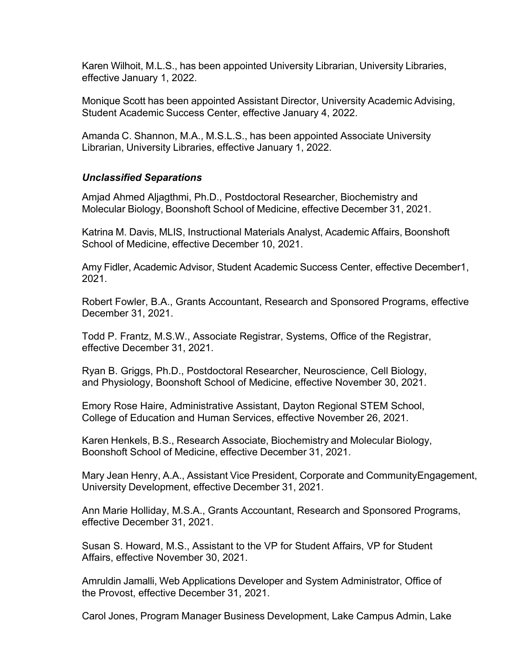Karen Wilhoit, M.L.S., has been appointed University Librarian, University Libraries, effective January 1, 2022.

Monique Scott has been appointed Assistant Director, University Academic Advising, Student Academic Success Center, effective January 4, 2022.

Amanda C. Shannon, M.A., M.S.L.S., has been appointed Associate University Librarian, University Libraries, effective January 1, 2022.

# *Unclassified Separations*

Amjad Ahmed Aljagthmi, Ph.D., Postdoctoral Researcher, Biochemistry and Molecular Biology, Boonshoft School of Medicine, effective December 31, 2021.

Katrina M. Davis, MLIS, Instructional Materials Analyst, Academic Affairs, Boonshoft School of Medicine, effective December 10, 2021.

Amy Fidler, Academic Advisor, Student Academic Success Center, effective December1, 2021.

Robert Fowler, B.A., Grants Accountant, Research and Sponsored Programs, effective December 31, 2021.

Todd P. Frantz, M.S.W., Associate Registrar, Systems, Office of the Registrar, effective December 31, 2021.

Ryan B. Griggs, Ph.D., Postdoctoral Researcher, Neuroscience, Cell Biology, and Physiology, Boonshoft School of Medicine, effective November 30, 2021.

Emory Rose Haire, Administrative Assistant, Dayton Regional STEM School, College of Education and Human Services, effective November 26, 2021.

Karen Henkels, B.S., Research Associate, Biochemistry and Molecular Biology, Boonshoft School of Medicine, effective December 31, 2021.

Mary Jean Henry, A.A., Assistant Vice President, Corporate and CommunityEngagement, University Development, effective December 31, 2021.

Ann Marie Holliday, M.S.A., Grants Accountant, Research and Sponsored Programs, effective December 31, 2021.

Susan S. Howard, M.S., Assistant to the VP for Student Affairs, VP for Student Affairs, effective November 30, 2021.

Amruldin Jamalli, Web Applications Developer and System Administrator, Office of the Provost, effective December 31, 2021.

Carol Jones, Program Manager Business Development, Lake Campus Admin, Lake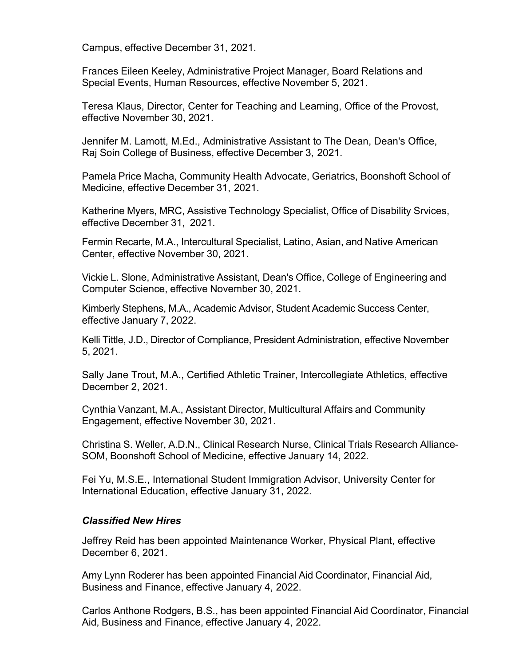Campus, effective December 31, 2021.

Frances Eileen Keeley, Administrative Project Manager, Board Relations and Special Events, Human Resources, effective November 5, 2021.

Teresa Klaus, Director, Center for Teaching and Learning, Office of the Provost, effective November 30, 2021.

Jennifer M. Lamott, M.Ed., Administrative Assistant to The Dean, Dean's Office, Raj Soin College of Business, effective December 3, 2021.

Pamela Price Macha, Community Health Advocate, Geriatrics, Boonshoft School of Medicine, effective December 31, 2021.

Katherine Myers, MRC, Assistive Technology Specialist, Office of Disability Srvices, effective December 31, 2021.

Fermin Recarte, M.A., Intercultural Specialist, Latino, Asian, and Native American Center, effective November 30, 2021.

Vickie L. Slone, Administrative Assistant, Dean's Office, College of Engineering and Computer Science, effective November 30, 2021.

Kimberly Stephens, M.A., Academic Advisor, Student Academic Success Center, effective January 7, 2022.

Kelli Tittle, J.D., Director of Compliance, President Administration, effective November 5, 2021.

Sally Jane Trout, M.A., Certified Athletic Trainer, Intercollegiate Athletics, effective December 2, 2021.

Cynthia Vanzant, M.A., Assistant Director, Multicultural Affairs and Community Engagement, effective November 30, 2021.

Christina S. Weller, A.D.N., Clinical Research Nurse, Clinical Trials Research Alliance-SOM, Boonshoft School of Medicine, effective January 14, 2022.

Fei Yu, M.S.E., International Student Immigration Advisor, University Center for International Education, effective January 31, 2022.

## *Classified New Hires*

Jeffrey Reid has been appointed Maintenance Worker, Physical Plant, effective December 6, 2021.

Amy Lynn Roderer has been appointed Financial Aid Coordinator, Financial Aid, Business and Finance, effective January 4, 2022.

Carlos Anthone Rodgers, B.S., has been appointed Financial Aid Coordinator, Financial Aid, Business and Finance, effective January 4, 2022.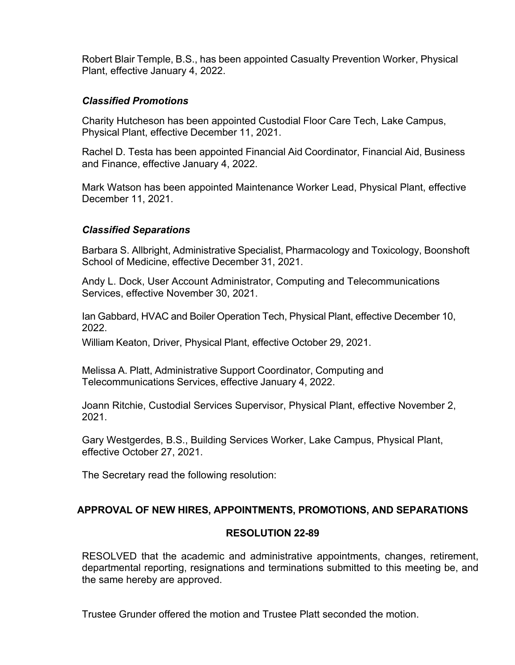Robert Blair Temple, B.S., has been appointed Casualty Prevention Worker, Physical Plant, effective January 4, 2022.

#### *Classified Promotions*

Charity Hutcheson has been appointed Custodial Floor Care Tech, Lake Campus, Physical Plant, effective December 11, 2021.

Rachel D. Testa has been appointed Financial Aid Coordinator, Financial Aid, Business and Finance, effective January 4, 2022.

Mark Watson has been appointed Maintenance Worker Lead, Physical Plant, effective December 11, 2021.

## *Classified Separations*

Barbara S. Allbright, Administrative Specialist, Pharmacology and Toxicology, Boonshoft School of Medicine, effective December 31, 2021.

Andy L. Dock, User Account Administrator, Computing and Telecommunications Services, effective November 30, 2021.

Ian Gabbard, HVAC and Boiler Operation Tech, Physical Plant, effective December 10, 2022.

William Keaton, Driver, Physical Plant, effective October 29, 2021.

Melissa A. Platt, Administrative Support Coordinator, Computing and Telecommunications Services, effective January 4, 2022.

Joann Ritchie, Custodial Services Supervisor, Physical Plant, effective November 2, 2021.

Gary Westgerdes, B.S., Building Services Worker, Lake Campus, Physical Plant, effective October 27, 2021.

The Secretary read the following resolution:

## **APPROVAL OF NEW HIRES, APPOINTMENTS, PROMOTIONS, AND SEPARATIONS**

## **RESOLUTION 22-89**

RESOLVED that the academic and administrative appointments, changes, retirement, departmental reporting, resignations and terminations submitted to this meeting be, and the same hereby are approved.

Trustee Grunder offered the motion and Trustee Platt seconded the motion.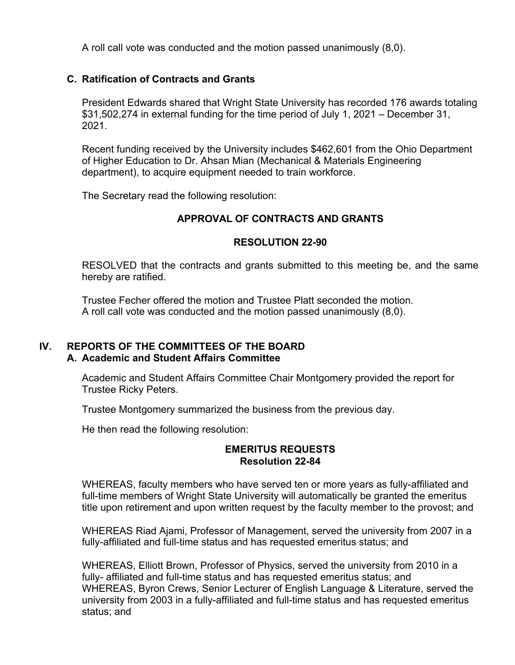A roll call vote was conducted and the motion passed unanimously (8,0).

## **C. Ratification of Contracts and Grants**

President Edwards shared that Wright State University has recorded 176 awards totaling \$31,502,274 in external funding for the time period of July 1, 2021 – December 31, 2021.

Recent funding received by the University includes \$462,601 from the Ohio Department of Higher Education to Dr. Ahsan Mian (Mechanical & Materials Engineering department), to acquire equipment needed to train workforce.

The Secretary read the following resolution:

## **APPROVAL OF CONTRACTS AND GRANTS**

#### **RESOLUTION 22-90**

RESOLVED that the contracts and grants submitted to this meeting be, and the same hereby are ratified.

Trustee Fecher offered the motion and Trustee Platt seconded the motion. A roll call vote was conducted and the motion passed unanimously (8,0).

## **IV. REPORTS OF THE COMMITTEES OF THE BOARD A. Academic and Student Affairs Committee**

Academic and Student Affairs Committee Chair Montgomery provided the report for Trustee Ricky Peters.

Trustee Montgomery summarized the business from the previous day.

He then read the following resolution:

#### **EMERITUS REQUESTS Resolution 22-84**

WHEREAS, faculty members who have served ten or more years as fully-affiliated and full-time members of Wright State University will automatically be granted the emeritus title upon retirement and upon written request by the faculty member to the provost; and

WHEREAS Riad Ajami, Professor of Management, served the university from 2007 in a fully-affiliated and full-time status and has requested emeritus status; and

WHEREAS, Elliott Brown, Professor of Physics, served the university from 2010 in a fully- affiliated and full-time status and has requested emeritus status; and WHEREAS, Byron Crews, Senior Lecturer of English Language & Literature, served the university from 2003 in a fully-affiliated and full-time status and has requested emeritus status; and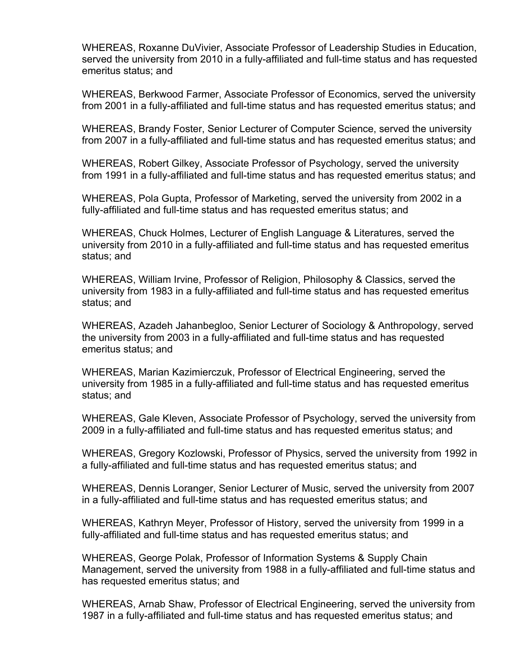WHEREAS, Roxanne DuVivier, Associate Professor of Leadership Studies in Education, served the university from 2010 in a fully-affiliated and full-time status and has requested emeritus status; and

WHEREAS, Berkwood Farmer, Associate Professor of Economics, served the university from 2001 in a fully-affiliated and full-time status and has requested emeritus status; and

WHEREAS, Brandy Foster, Senior Lecturer of Computer Science, served the university from 2007 in a fully-affiliated and full-time status and has requested emeritus status; and

WHEREAS, Robert Gilkey, Associate Professor of Psychology, served the university from 1991 in a fully-affiliated and full-time status and has requested emeritus status; and

WHEREAS, Pola Gupta, Professor of Marketing, served the university from 2002 in a fully-affiliated and full-time status and has requested emeritus status; and

WHEREAS, Chuck Holmes, Lecturer of English Language & Literatures, served the university from 2010 in a fully-affiliated and full-time status and has requested emeritus status; and

WHEREAS, William Irvine, Professor of Religion, Philosophy & Classics, served the university from 1983 in a fully-affiliated and full-time status and has requested emeritus status; and

WHEREAS, Azadeh Jahanbegloo, Senior Lecturer of Sociology & Anthropology, served the university from 2003 in a fully-affiliated and full-time status and has requested emeritus status; and

WHEREAS, Marian Kazimierczuk, Professor of Electrical Engineering, served the university from 1985 in a fully-affiliated and full-time status and has requested emeritus status; and

WHEREAS, Gale Kleven, Associate Professor of Psychology, served the university from 2009 in a fully-affiliated and full-time status and has requested emeritus status; and

WHEREAS, Gregory Kozlowski, Professor of Physics, served the university from 1992 in a fully-affiliated and full-time status and has requested emeritus status; and

WHEREAS, Dennis Loranger, Senior Lecturer of Music, served the university from 2007 in a fully-affiliated and full-time status and has requested emeritus status; and

WHEREAS, Kathryn Meyer, Professor of History, served the university from 1999 in a fully-affiliated and full-time status and has requested emeritus status; and

WHEREAS, George Polak, Professor of Information Systems & Supply Chain Management, served the university from 1988 in a fully-affiliated and full-time status and has requested emeritus status; and

WHEREAS, Arnab Shaw, Professor of Electrical Engineering, served the university from 1987 in a fully-affiliated and full-time status and has requested emeritus status; and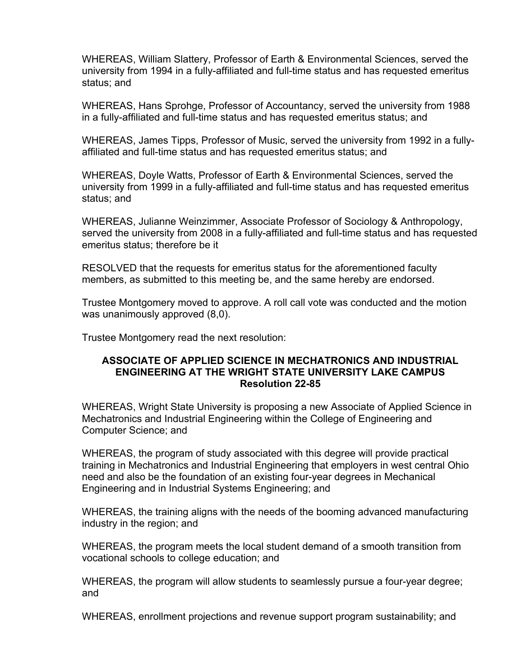WHEREAS, William Slattery, Professor of Earth & Environmental Sciences, served the university from 1994 in a fully-affiliated and full-time status and has requested emeritus status; and

WHEREAS, Hans Sprohge, Professor of Accountancy, served the university from 1988 in a fully-affiliated and full-time status and has requested emeritus status; and

WHEREAS, James Tipps, Professor of Music, served the university from 1992 in a fullyaffiliated and full-time status and has requested emeritus status; and

WHEREAS, Doyle Watts, Professor of Earth & Environmental Sciences, served the university from 1999 in a fully-affiliated and full-time status and has requested emeritus status; and

WHEREAS, Julianne Weinzimmer, Associate Professor of Sociology & Anthropology, served the university from 2008 in a fully-affiliated and full-time status and has requested emeritus status; therefore be it

RESOLVED that the requests for emeritus status for the aforementioned faculty members, as submitted to this meeting be, and the same hereby are endorsed.

Trustee Montgomery moved to approve. A roll call vote was conducted and the motion was unanimously approved (8,0).

Trustee Montgomery read the next resolution:

#### **ASSOCIATE OF APPLIED SCIENCE IN MECHATRONICS AND INDUSTRIAL ENGINEERING AT THE WRIGHT STATE UNIVERSITY LAKE CAMPUS Resolution 22-85**

WHEREAS, Wright State University is proposing a new Associate of Applied Science in Mechatronics and Industrial Engineering within the College of Engineering and Computer Science; and

WHEREAS, the program of study associated with this degree will provide practical training in Mechatronics and Industrial Engineering that employers in west central Ohio need and also be the foundation of an existing four-year degrees in Mechanical Engineering and in Industrial Systems Engineering; and

WHEREAS, the training aligns with the needs of the booming advanced manufacturing industry in the region; and

WHEREAS, the program meets the local student demand of a smooth transition from vocational schools to college education; and

WHEREAS, the program will allow students to seamlessly pursue a four-year degree; and

WHEREAS, enrollment projections and revenue support program sustainability; and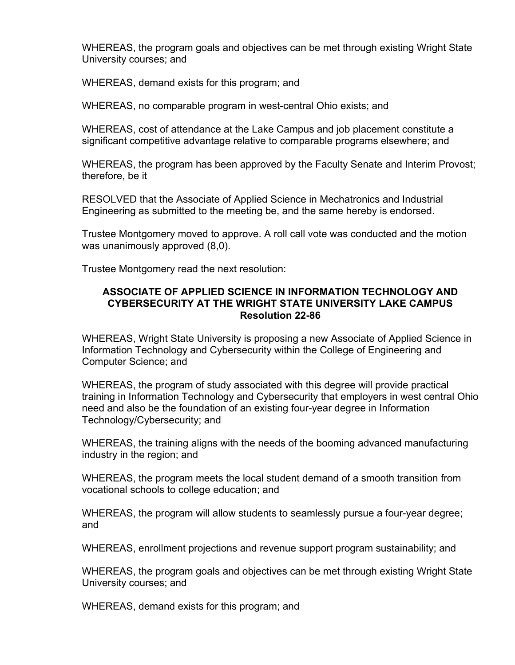WHEREAS, the program goals and objectives can be met through existing Wright State University courses; and

WHEREAS, demand exists for this program; and

WHEREAS, no comparable program in west-central Ohio exists; and

WHEREAS, cost of attendance at the Lake Campus and job placement constitute a significant competitive advantage relative to comparable programs elsewhere; and

WHEREAS, the program has been approved by the Faculty Senate and Interim Provost; therefore, be it

RESOLVED that the Associate of Applied Science in Mechatronics and Industrial Engineering as submitted to the meeting be, and the same hereby is endorsed.

Trustee Montgomery moved to approve. A roll call vote was conducted and the motion was unanimously approved (8,0).

Trustee Montgomery read the next resolution:

#### **ASSOCIATE OF APPLIED SCIENCE IN INFORMATION TECHNOLOGY AND CYBERSECURITY AT THE WRIGHT STATE UNIVERSITY LAKE CAMPUS Resolution 22-86**

WHEREAS, Wright State University is proposing a new Associate of Applied Science in Information Technology and Cybersecurity within the College of Engineering and Computer Science; and

WHEREAS, the program of study associated with this degree will provide practical training in Information Technology and Cybersecurity that employers in west central Ohio need and also be the foundation of an existing four-year degree in Information Technology/Cybersecurity; and

WHEREAS, the training aligns with the needs of the booming advanced manufacturing industry in the region; and

WHEREAS, the program meets the local student demand of a smooth transition from vocational schools to college education; and

WHEREAS, the program will allow students to seamlessly pursue a four-year degree; and

WHEREAS, enrollment projections and revenue support program sustainability; and

WHEREAS, the program goals and objectives can be met through existing Wright State University courses; and

WHEREAS, demand exists for this program; and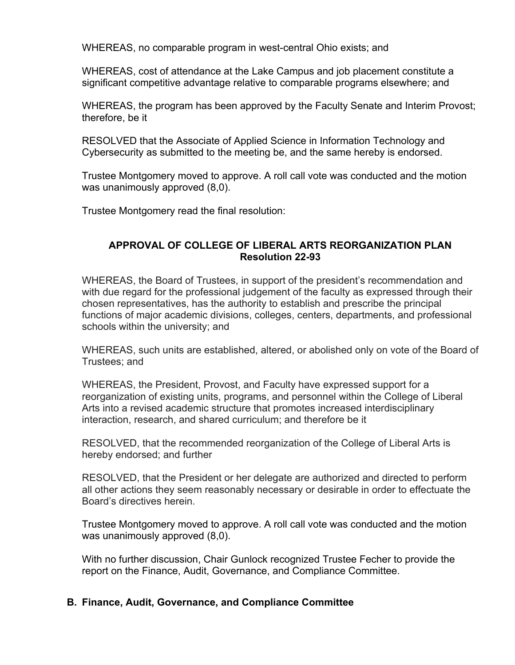WHEREAS, no comparable program in west-central Ohio exists; and

WHEREAS, cost of attendance at the Lake Campus and job placement constitute a significant competitive advantage relative to comparable programs elsewhere; and

WHEREAS, the program has been approved by the Faculty Senate and Interim Provost; therefore, be it

RESOLVED that the Associate of Applied Science in Information Technology and Cybersecurity as submitted to the meeting be, and the same hereby is endorsed.

Trustee Montgomery moved to approve. A roll call vote was conducted and the motion was unanimously approved (8,0).

Trustee Montgomery read the final resolution:

## **APPROVAL OF COLLEGE OF LIBERAL ARTS REORGANIZATION PLAN Resolution 22-93**

WHEREAS, the Board of Trustees, in support of the president's recommendation and with due regard for the professional judgement of the faculty as expressed through their chosen representatives, has the authority to establish and prescribe the principal functions of major academic divisions, colleges, centers, departments, and professional schools within the university; and

WHEREAS, such units are established, altered, or abolished only on vote of the Board of Trustees; and

WHEREAS, the President, Provost, and Faculty have expressed support for a reorganization of existing units, programs, and personnel within the College of Liberal Arts into a revised academic structure that promotes increased interdisciplinary interaction, research, and shared curriculum; and therefore be it

RESOLVED, that the recommended reorganization of the College of Liberal Arts is hereby endorsed; and further

RESOLVED, that the President or her delegate are authorized and directed to perform all other actions they seem reasonably necessary or desirable in order to effectuate the Board's directives herein.

Trustee Montgomery moved to approve. A roll call vote was conducted and the motion was unanimously approved (8,0).

With no further discussion, Chair Gunlock recognized Trustee Fecher to provide the report on the Finance, Audit, Governance, and Compliance Committee.

## **B. Finance, Audit, Governance, and Compliance Committee**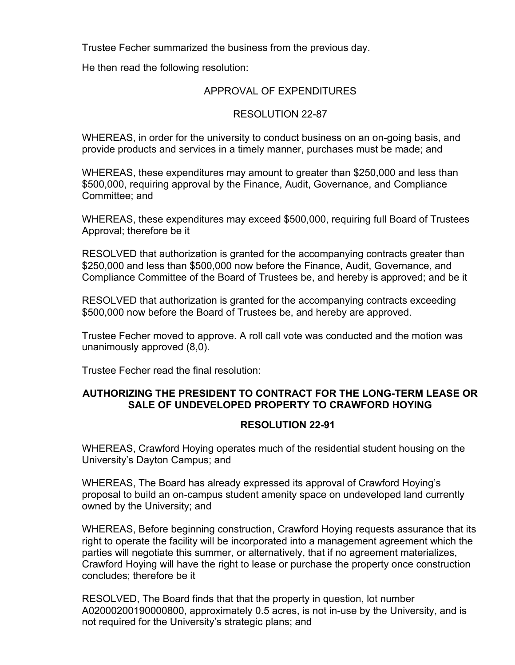Trustee Fecher summarized the business from the previous day.

He then read the following resolution:

## APPROVAL OF EXPENDITURES

## RESOLUTION 22-87

WHEREAS, in order for the university to conduct business on an on-going basis, and provide products and services in a timely manner, purchases must be made; and

WHEREAS, these expenditures may amount to greater than \$250,000 and less than \$500,000, requiring approval by the Finance, Audit, Governance, and Compliance Committee; and

WHEREAS, these expenditures may exceed \$500,000, requiring full Board of Trustees Approval; therefore be it

RESOLVED that authorization is granted for the accompanying contracts greater than \$250,000 and less than \$500,000 now before the Finance, Audit, Governance, and Compliance Committee of the Board of Trustees be, and hereby is approved; and be it

RESOLVED that authorization is granted for the accompanying contracts exceeding \$500,000 now before the Board of Trustees be, and hereby are approved.

Trustee Fecher moved to approve. A roll call vote was conducted and the motion was unanimously approved (8,0).

Trustee Fecher read the final resolution:

# **AUTHORIZING THE PRESIDENT TO CONTRACT FOR THE LONG-TERM LEASE OR SALE OF UNDEVELOPED PROPERTY TO CRAWFORD HOYING**

## **RESOLUTION 22-91**

WHEREAS, Crawford Hoying operates much of the residential student housing on the University's Dayton Campus; and

WHEREAS, The Board has already expressed its approval of Crawford Hoying's proposal to build an on-campus student amenity space on undeveloped land currently owned by the University; and

WHEREAS, Before beginning construction, Crawford Hoying requests assurance that its right to operate the facility will be incorporated into a management agreement which the parties will negotiate this summer, or alternatively, that if no agreement materializes, Crawford Hoying will have the right to lease or purchase the property once construction concludes; therefore be it

RESOLVED, The Board finds that that the property in question, lot number A02000200190000800, approximately 0.5 acres, is not in-use by the University, and is not required for the University's strategic plans; and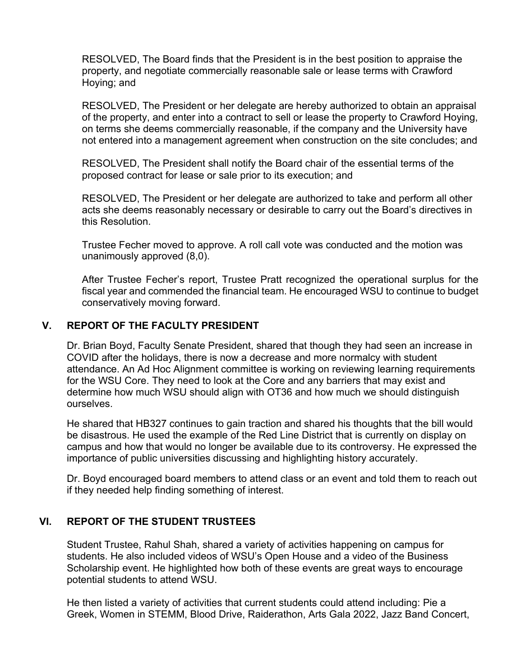RESOLVED, The Board finds that the President is in the best position to appraise the property, and negotiate commercially reasonable sale or lease terms with Crawford Hoying; and

RESOLVED, The President or her delegate are hereby authorized to obtain an appraisal of the property, and enter into a contract to sell or lease the property to Crawford Hoying, on terms she deems commercially reasonable, if the company and the University have not entered into a management agreement when construction on the site concludes; and

RESOLVED, The President shall notify the Board chair of the essential terms of the proposed contract for lease or sale prior to its execution; and

RESOLVED, The President or her delegate are authorized to take and perform all other acts she deems reasonably necessary or desirable to carry out the Board's directives in this Resolution.

Trustee Fecher moved to approve. A roll call vote was conducted and the motion was unanimously approved (8,0).

After Trustee Fecher's report, Trustee Pratt recognized the operational surplus for the fiscal year and commended the financial team. He encouraged WSU to continue to budget conservatively moving forward.

# **V. REPORT OF THE FACULTY PRESIDENT**

Dr. Brian Boyd, Faculty Senate President, shared that though they had seen an increase in COVID after the holidays, there is now a decrease and more normalcy with student attendance. An Ad Hoc Alignment committee is working on reviewing learning requirements for the WSU Core. They need to look at the Core and any barriers that may exist and determine how much WSU should align with OT36 and how much we should distinguish ourselves.

He shared that HB327 continues to gain traction and shared his thoughts that the bill would be disastrous. He used the example of the Red Line District that is currently on display on campus and how that would no longer be available due to its controversy. He expressed the importance of public universities discussing and highlighting history accurately.

Dr. Boyd encouraged board members to attend class or an event and told them to reach out if they needed help finding something of interest.

# **VI. REPORT OF THE STUDENT TRUSTEES**

Student Trustee, Rahul Shah, shared a variety of activities happening on campus for students. He also included videos of WSU's Open House and a video of the Business Scholarship event. He highlighted how both of these events are great ways to encourage potential students to attend WSU.

He then listed a variety of activities that current students could attend including: Pie a Greek, Women in STEMM, Blood Drive, Raiderathon, Arts Gala 2022, Jazz Band Concert,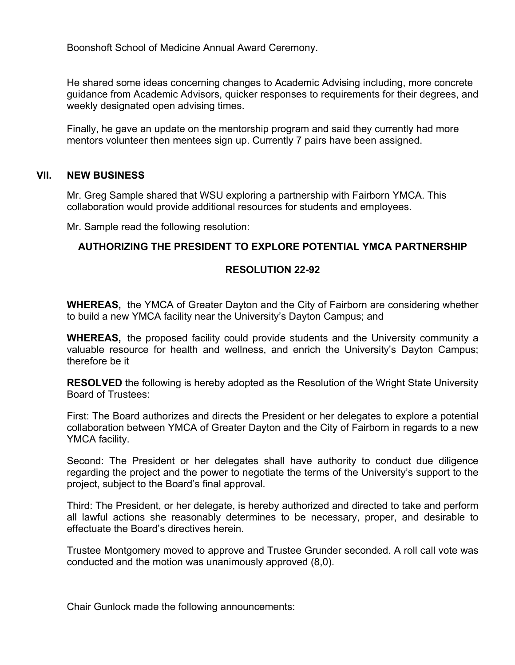Boonshoft School of Medicine Annual Award Ceremony.

He shared some ideas concerning changes to Academic Advising including, more concrete guidance from Academic Advisors, quicker responses to requirements for their degrees, and weekly designated open advising times.

Finally, he gave an update on the mentorship program and said they currently had more mentors volunteer then mentees sign up. Currently 7 pairs have been assigned.

## **VII. NEW BUSINESS**

Mr. Greg Sample shared that WSU exploring a partnership with Fairborn YMCA. This collaboration would provide additional resources for students and employees.

Mr. Sample read the following resolution:

#### **AUTHORIZING THE PRESIDENT TO EXPLORE POTENTIAL YMCA PARTNERSHIP**

#### **RESOLUTION 22-92**

**WHEREAS,** the YMCA of Greater Dayton and the City of Fairborn are considering whether to build a new YMCA facility near the University's Dayton Campus; and

**WHEREAS,** the proposed facility could provide students and the University community a valuable resource for health and wellness, and enrich the University's Dayton Campus; therefore be it

**RESOLVED** the following is hereby adopted as the Resolution of the Wright State University Board of Trustees:

First: The Board authorizes and directs the President or her delegates to explore a potential collaboration between YMCA of Greater Dayton and the City of Fairborn in regards to a new YMCA facility.

Second: The President or her delegates shall have authority to conduct due diligence regarding the project and the power to negotiate the terms of the University's support to the project, subject to the Board's final approval.

Third: The President, or her delegate, is hereby authorized and directed to take and perform all lawful actions she reasonably determines to be necessary, proper, and desirable to effectuate the Board's directives herein.

Trustee Montgomery moved to approve and Trustee Grunder seconded. A roll call vote was conducted and the motion was unanimously approved (8,0).

Chair Gunlock made the following announcements: